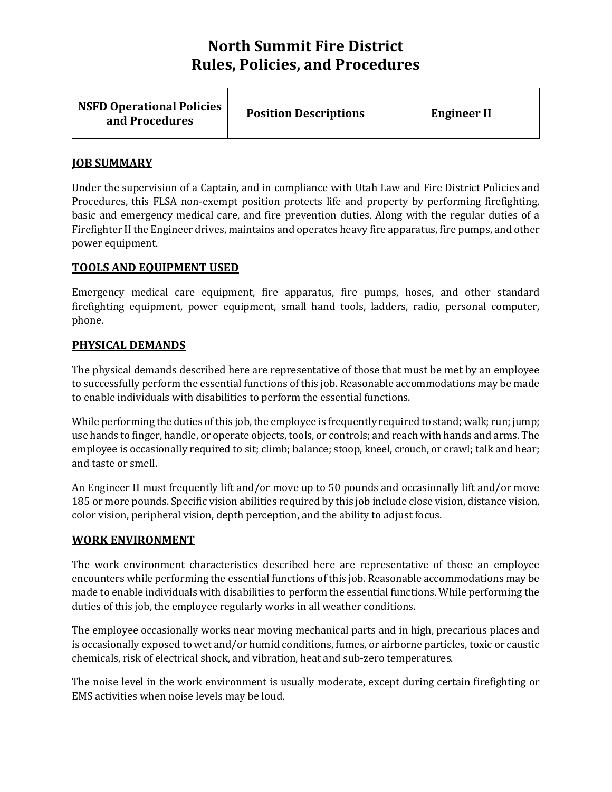| <b>NSFD Operational Policies</b><br>and Procedures | <b>Position Descriptions</b> | <b>Engineer II</b> |
|----------------------------------------------------|------------------------------|--------------------|
|----------------------------------------------------|------------------------------|--------------------|

## **JOB SUMMARY**

Under the supervision of a Captain, and in compliance with Utah Law and Fire District Policies and Procedures, this FLSA non-exempt position protects life and property by performing firefighting, basic and emergency medical care, and fire prevention duties. Along with the regular duties of a Firefighter II the Engineer drives, maintains and operates heavy fire apparatus, fire pumps, and other power equipment.

## **TOOLS AND EQUIPMENT USED**

Emergency medical care equipment, fire apparatus, fire pumps, hoses, and other standard firefighting equipment, power equipment, small hand tools, ladders, radio, personal computer, phone.

## **PHYSICAL DEMANDS**

The physical demands described here are representative of those that must be met by an employee to successfully perform the essential functions of this job. Reasonable accommodations may be made to enable individuals with disabilities to perform the essential functions.

While performing the duties of this job, the employee is frequently required to stand; walk; run; jump; use hands to finger, handle, or operate objects, tools, or controls; and reach with hands and arms. The employee is occasionally required to sit; climb; balance; stoop, kneel, crouch, or crawl; talk and hear; and taste or smell.

An Engineer II must frequently lift and/or move up to 50 pounds and occasionally lift and/or move 185 or more pounds. Specific vision abilities required by this job include close vision, distance vision, color vision, peripheral vision, depth perception, and the ability to adjust focus.

#### **WORK ENVIRONMENT**

The work environment characteristics described here are representative of those an employee encounters while performing the essential functions of this job. Reasonable accommodations may be made to enable individuals with disabilities to perform the essential functions. While performing the duties of this job, the employee regularly works in all weather conditions.

The employee occasionally works near moving mechanical parts and in high, precarious places and is occasionally exposed to wet and/or humid conditions, fumes, or airborne particles, toxic or caustic chemicals, risk of electrical shock, and vibration, heat and sub-zero temperatures.

The noise level in the work environment is usually moderate, except during certain firefighting or EMS activities when noise levels may be loud.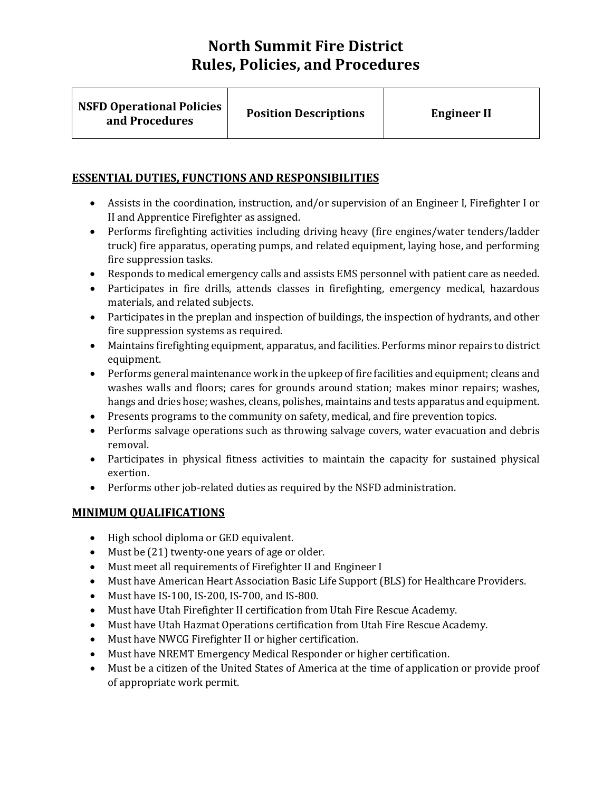| <b>NSFD Operational Policies</b><br>and Procedures | <b>Position Descriptions</b> | <b>Engineer II</b> |
|----------------------------------------------------|------------------------------|--------------------|
|                                                    |                              |                    |

## **ESSENTIAL DUTIES, FUNCTIONS AND RESPONSIBILITIES**

- Assists in the coordination, instruction, and/or supervision of an Engineer I, Firefighter I or II and Apprentice Firefighter as assigned.
- Performs firefighting activities including driving heavy (fire engines/water tenders/ladder truck) fire apparatus, operating pumps, and related equipment, laying hose, and performing fire suppression tasks.
- Responds to medical emergency calls and assists EMS personnel with patient care as needed.
- Participates in fire drills, attends classes in firefighting, emergency medical, hazardous materials, and related subjects.
- Participates in the preplan and inspection of buildings, the inspection of hydrants, and other fire suppression systems as required.
- Maintains firefighting equipment, apparatus, and facilities. Performs minor repairs to district equipment.
- Performs general maintenance work in the upkeep of fire facilities and equipment; cleans and washes walls and floors; cares for grounds around station; makes minor repairs; washes, hangs and dries hose; washes, cleans, polishes, maintains and tests apparatus and equipment.
- Presents programs to the community on safety, medical, and fire prevention topics.
- Performs salvage operations such as throwing salvage covers, water evacuation and debris removal.
- Participates in physical fitness activities to maintain the capacity for sustained physical exertion.
- Performs other job-related duties as required by the NSFD administration.

## **MINIMUM QUALIFICATIONS**

- High school diploma or GED equivalent.
- Must be (21) twenty-one years of age or older.
- Must meet all requirements of Firefighter II and Engineer I
- Must have American Heart Association Basic Life Support (BLS) for Healthcare Providers.
- Must have IS-100, IS-200, IS-700, and IS-800.
- Must have Utah Firefighter II certification from Utah Fire Rescue Academy.
- Must have Utah Hazmat Operations certification from Utah Fire Rescue Academy.
- Must have NWCG Firefighter II or higher certification.
- Must have NREMT Emergency Medical Responder or higher certification.
- Must be a citizen of the United States of America at the time of application or provide proof of appropriate work permit.